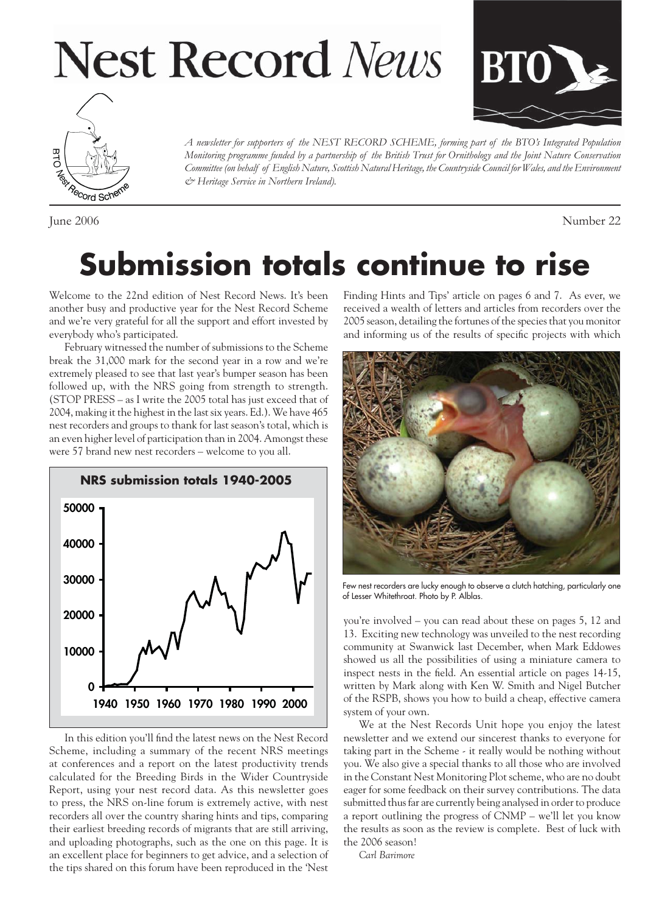# **Nest Record News**





*A newsletter for supporters of the NEST RECORD SCHEME, forming part of the BTO's Integrated Population Monitoring programme funded by a partnership of the British Trust for Ornithology and the Joint Nature Conservation Committee (on behalf of English Nature, Scottish Natural Heritage, the Countryside Council for Wales, and the Environment & Heritage Service in Northern Ireland).*

June 2006 Number 22

### **Submission totals continue to rise**

Welcome to the 22nd edition of Nest Record News. It's been another busy and productive year for the Nest Record Scheme and we're very grateful for all the support and effort invested by everybody who's participated.

February witnessed the number of submissions to the Scheme break the 31,000 mark for the second year in a row and we're extremely pleased to see that last year's bumper season has been followed up, with the NRS going from strength to strength. (STOP PRESS – as I write the 2005 total has just exceed that of 2004, making it the highest in the last six years. Ed.). We have 465 nest recorders and groups to thank for last season's total, which is an even higher level of participation than in 2004. Amongst these were 57 brand new nest recorders – welcome to you all.



In this edition you'll find the latest news on the Nest Record Scheme, including a summary of the recent NRS meetings at conferences and a report on the latest productivity trends calculated for the Breeding Birds in the Wider Countryside Report, using your nest record data. As this newsletter goes to press, the NRS on-line forum is extremely active, with nest recorders all over the country sharing hints and tips, comparing their earliest breeding records of migrants that are still arriving, and uploading photographs, such as the one on this page. It is an excellent place for beginners to get advice, and a selection of the tips shared on this forum have been reproduced in the 'Nest

Finding Hints and Tips' article on pages 6 and 7. As ever, we received a wealth of letters and articles from recorders over the 2005 season, detailing the fortunes of the species that you monitor and informing us of the results of specific projects with which



Few nest recorders are lucky enough to observe a clutch hatching, particularly one of Lesser Whitethroat. Photo by P. Alblas.

you're involved – you can read about these on pages 5, 12 and 13. Exciting new technology was unveiled to the nest recording community at Swanwick last December, when Mark Eddowes showed us all the possibilities of using a miniature camera to inspect nests in the field. An essential article on pages 14-15, written by Mark along with Ken W. Smith and Nigel Butcher of the RSPB, shows you how to build a cheap, effective camera system of your own.

We at the Nest Records Unit hope you enjoy the latest newsletter and we extend our sincerest thanks to everyone for taking part in the Scheme - it really would be nothing without you. We also give a special thanks to all those who are involved in the Constant Nest Monitoring Plot scheme, who are no doubt eager for some feedback on their survey contributions. The data submitted thus far are currently being analysed in order to produce a report outlining the progress of CNMP – we'll let you know the results as soon as the review is complete. Best of luck with the 2006 season!

*Carl Barimore*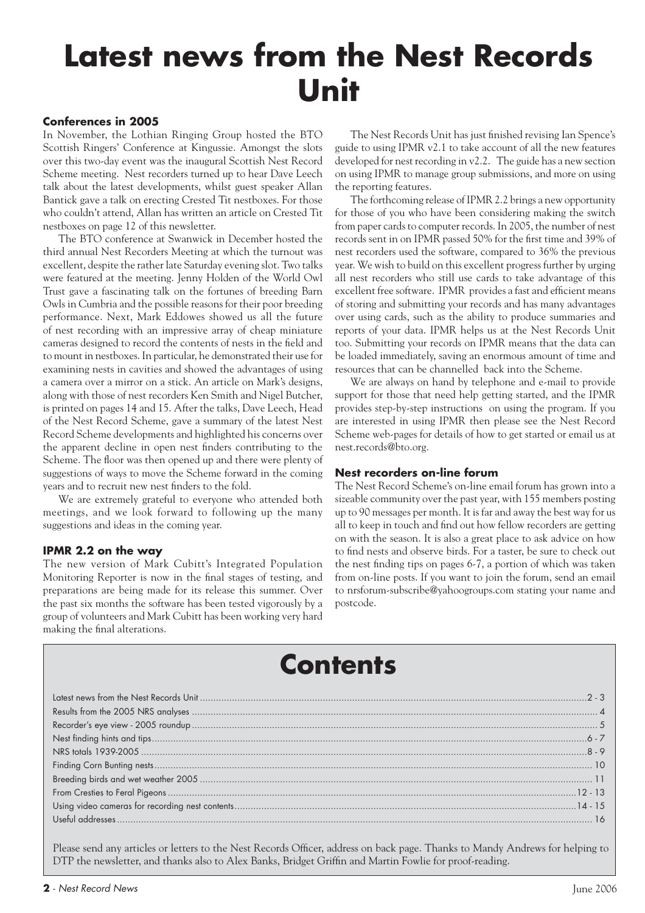## **Latest news from the Nest Records Unit**

### **Conferences in 2005**

In November, the Lothian Ringing Group hosted the BTO Scottish Ringers' Conference at Kingussie. Amongst the slots over this two-day event was the inaugural Scottish Nest Record Scheme meeting. Nest recorders turned up to hear Dave Leech talk about the latest developments, whilst guest speaker Allan Bantick gave a talk on erecting Crested Tit nestboxes. For those who couldn't attend, Allan has written an article on Crested Tit nestboxes on page 12 of this newsletter.

The BTO conference at Swanwick in December hosted the third annual Nest Recorders Meeting at which the turnout was excellent, despite the rather late Saturday evening slot. Two talks were featured at the meeting. Jenny Holden of the World Owl Trust gave a fascinating talk on the fortunes of breeding Barn Owls in Cumbria and the possible reasons for their poor breeding performance. Next, Mark Eddowes showed us all the future of nest recording with an impressive array of cheap miniature cameras designed to record the contents of nests in the field and to mount in nestboxes. In particular, he demonstrated their use for examining nests in cavities and showed the advantages of using a camera over a mirror on a stick. An article on Mark's designs, along with those of nest recorders Ken Smith and Nigel Butcher, is printed on pages 14 and 15. After the talks, Dave Leech, Head of the Nest Record Scheme, gave a summary of the latest Nest Record Scheme developments and highlighted his concerns over the apparent decline in open nest finders contributing to the Scheme. The floor was then opened up and there were plenty of suggestions of ways to move the Scheme forward in the coming years and to recruit new nest finders to the fold.

We are extremely grateful to everyone who attended both meetings, and we look forward to following up the many suggestions and ideas in the coming year.

### **IPMR 2.2 on the way**

The new version of Mark Cubitt's Integrated Population Monitoring Reporter is now in the final stages of testing, and preparations are being made for its release this summer. Over the past six months the software has been tested vigorously by a group of volunteers and Mark Cubitt has been working very hard making the final alterations.

The Nest Records Unit has just finished revising Ian Spence's guide to using IPMR v2.1 to take account of all the new features developed for nest recording in v2.2. The guide has a new section on using IPMR to manage group submissions, and more on using the reporting features.

The forthcoming release of IPMR 2.2 brings a new opportunity for those of you who have been considering making the switch from paper cards to computer records. In 2005, the number of nest records sent in on IPMR passed 50% for the first time and 39% of nest recorders used the software, compared to 36% the previous year. We wish to build on this excellent progress further by urging all nest recorders who still use cards to take advantage of this excellent free software. IPMR provides a fast and efficient means of storing and submitting your records and has many advantages over using cards, such as the ability to produce summaries and reports of your data. IPMR helps us at the Nest Records Unit too. Submitting your records on IPMR means that the data can be loaded immediately, saving an enormous amount of time and resources that can be channelled back into the Scheme.

We are always on hand by telephone and e-mail to provide support for those that need help getting started, and the IPMR provides step-by-step instructions on using the program. If you are interested in using IPMR then please see the Nest Record Scheme web-pages for details of how to get started or email us at nest.records@bto.org.

### **Nest recorders on-line forum**

The Nest Record Scheme's on-line email forum has grown into a sizeable community over the past year, with 155 members posting up to 90 messages per month. It is far and away the best way for us all to keep in touch and find out how fellow recorders are getting on with the season. It is also a great place to ask advice on how to find nests and observe birds. For a taster, be sure to check out the nest finding tips on pages  $6-7$ , a portion of which was taken from on-line posts. If you want to join the forum, send an email to nrsforum-subscribe@yahoogroups.com stating your name and postcode.

### **Contents**

Please send any articles or letters to the Nest Records Officer, address on back page. Thanks to Mandy Andrews for helping to DTP the newsletter, and thanks also to Alex Banks, Bridget Griffin and Martin Fowlie for proof-reading.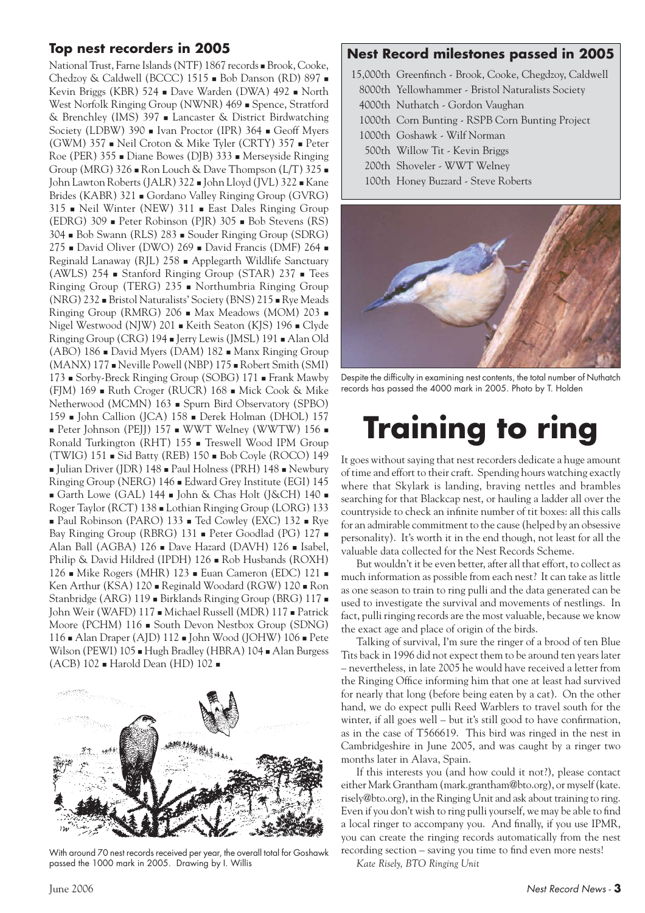### **Top nest recorders in 2005**

National Trust, Farne Islands (NTF) 1867 records **Brook**, Cooke, Chedzoy & Caldwell (BCCC) 1515 Bob Danson (RD) 897 Kevin Briggs (KBR) 524 **Dave Warden (DWA) 492** North West Norfolk Ringing Group (NWNR) 469 Spence, Stratford & Brenchley (IMS) 397 Lancaster & District Birdwatching Society (LDBW) 390 lvan Proctor (IPR) 364 Geoff Myers (GWM) 357 Neil Croton & Mike Tyler (CRTY) 357 Peter Roe (PER) 355 Diane Bowes (DJB) 333 Merseyside Ringing Group (MRG)  $326 \bullet$  Ron Louch & Dave Thompson (L/T)  $325 \bullet$ John Lawton Roberts (JALR) 322 - John Lloyd (JVL) 322 - Kane Brides (KABR) 321 Gordano Valley Ringing Group (GVRG) 315 Neil Winter (NEW) 311 East Dales Ringing Group (EDRG) 309 Peter Robinson (PJR) 305 Bob Stevens (RS) 304 Bob Swann (RLS) 283 Souder Ringing Group (SDRG) 275 David Oliver (DWO) 269 David Francis (DMF) 264 Reginald Lanaway (RJL) 258 Applegarth Wildlife Sanctuary (AWLS) 254 Stanford Ringing Group (STAR) 237 Tees Ringing Group (TERG) 235 Northumbria Ringing Group  $(NRG)$  232  $\blacksquare$  Bristol Naturalists' Society (BNS) 215  $\blacksquare$  Rye Meads Ringing Group (RMRG) 206 Max Meadows (MOM) 203 Nigel Westwood (NJW) 201 Keith Seaton (KJS) 196 Clyde Ringing Group (CRG) 194 Jerry Lewis (JMSL) 191 Alan Old  $(ABO)$  186  $\blacksquare$  David Myers (DAM) 182  $\blacksquare$  Manx Ringing Group (MANX) 177 Neville Powell (NBP) 175 Robert Smith (SMI) 173 Sorby-Breck Ringing Group (SOBG) 171 Frank Mawby (FJM) 169 Ruth Croger (RUCR) 168 Mick Cook & Mike Netherwood (MCMN) 163 Spurn Bird Observatory (SPBO) 159 John Callion (JCA) 158 Derek Holman (DHOL) 157 Peter Johnson (PEJJ)  $157$  WWT Welney (WWTW)  $156$ Ronald Turkington (RHT) 155 Treswell Wood IPM Group (TWIG) 151 Sid Batty (REB) 150 Bob Coyle (ROCO) 149 Julian Driver (JDR) 148 Paul Holness (PRH) 148 Newbury Ringing Group (NERG) 146 Edward Grey Institute (EGI) 145 Garth Lowe (GAL) 144 - John & Chas Holt (J&CH) 140 -Roger Taylor (RCT) 138 Lothian Ringing Group (LORG) 133 ■ Paul Robinson (PARO) 133 ■ Ted Cowley (EXC) 132 ■ Rye Bay Ringing Group (RBRG) 131 Peter Goodlad (PG) 127 -Alan Ball (AGBA) 126 **Dave Hazard (DAVH) 126 a** Isabel, Philip & David Hildred (IPDH) 126 Rob Husbands (ROXH) 126 Mike Rogers (MHR) 123 Euan Cameron (EDC) 121 Ken Arthur (KSA) 120 Reginald Woodard (RGW) 120 Ron Stanbridge (ARG) 119 Birklands Ringing Group (BRG) 117 John Weir (WAFD) 117 Michael Russell (MDR) 117 Patrick Moore (PCHM) 116 South Devon Nestbox Group (SDNG) 116 Alan Draper (AJD) 112 John Wood (JOHW) 106 Pete Wilson (PEWI) 105 Hugh Bradley (HBRA) 104 Alan Burgess (ACB) 102 Harold Dean (HD) 102



With around 70 nest records received per year, the overall total for Goshawk passed the 1000 mark in 2005. Drawing by I. Willis

### **Nest Record milestones passed in 2005**

- 15,000th Greenfinch Brook, Cooke, Chegdzoy, Caldwell
- 8000th Yellowhammer Bristol Naturalists Society
- 4000th Nuthatch Gordon Vaughan

1000th Corn Bunting - RSPB Corn Bunting Project

- 1000th Goshawk Wilf Norman
- 500th Willow Tit Kevin Briggs
- 200th Shoveler WWT Welney
- 100th Honey Buzzard Steve Roberts



Despite the difficulty in examining nest contents, the total number of Nuthatch records has passed the 4000 mark in 2005. Photo by T. Holden

## **Training to ring**

It goes without saying that nest recorders dedicate a huge amount of time and effort to their craft. Spending hours watching exactly where that Skylark is landing, braving nettles and brambles searching for that Blackcap nest, or hauling a ladder all over the countryside to check an infinite number of tit boxes: all this calls for an admirable commitment to the cause (helped by an obsessive personality). It's worth it in the end though, not least for all the valuable data collected for the Nest Records Scheme.

But wouldn't it be even better, after all that effort, to collect as much information as possible from each nest? It can take as little as one season to train to ring pulli and the data generated can be used to investigate the survival and movements of nestlings. In fact, pulli ringing records are the most valuable, because we know the exact age and place of origin of the birds.

Talking of survival, I'm sure the ringer of a brood of ten Blue Tits back in 1996 did not expect them to be around ten years later – nevertheless, in late 2005 he would have received a letter from the Ringing Office informing him that one at least had survived for nearly that long (before being eaten by a cat). On the other hand, we do expect pulli Reed Warblers to travel south for the winter, if all goes well – but it's still good to have confirmation, as in the case of T566619. This bird was ringed in the nest in Cambridgeshire in June 2005, and was caught by a ringer two months later in Alava, Spain.

If this interests you (and how could it not?), please contact either Mark Grantham (mark.grantham@bto.org), or myself (kate. risely@bto.org), in the Ringing Unit and ask about training to ring. Even if you don't wish to ring pulli yourself, we may be able to find a local ringer to accompany you. And finally, if you use IPMR, you can create the ringing records automatically from the nest recording section – saving you time to find even more nests!

*Kate Risely, BTO Ringing Unit*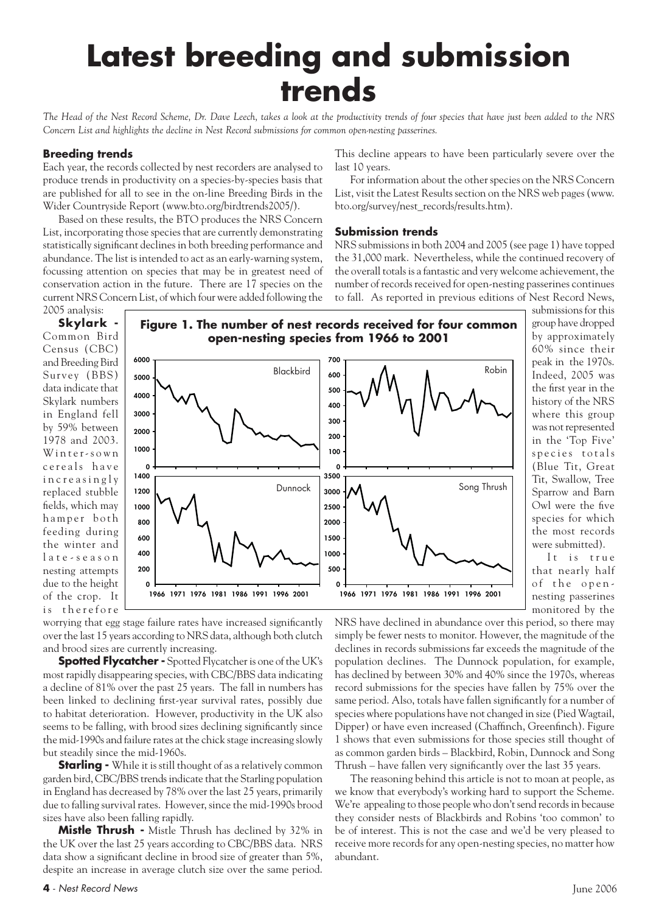## **Latest breeding and submission trends**

*The Head of the Nest Record Scheme, Dr. Dave Leech, takes a look at the productivity trends of four species that have just been added to the NRS Concern List and highlights the decline in Nest Record submissions for common open-nesting passerines.*

### **Breeding trends**

Each year, the records collected by nest recorders are analysed to produce trends in productivity on a species-by-species basis that are published for all to see in the on-line Breeding Birds in the Wider Countryside Report (www.bto.org/birdtrends2005/).

Based on these results, the BTO produces the NRS Concern List, incorporating those species that are currently demonstrating statistically significant declines in both breeding performance and abundance. The list is intended to act as an early-warning system, focussing attention on species that may be in greatest need of conservation action in the future. There are 17 species on the current NRS Concern List, of which four were added following the 2005 analysis:

This decline appears to have been particularly severe over the last 10 years.

For information about the other species on the NRS Concern List, visit the Latest Results section on the NRS web pages (www. bto.org/survey/nest\_records/results.htm).

### **Submission trends**

NRS submissions in both 2004 and 2005 (see page 1) have topped the 31,000 mark. Nevertheless, while the continued recovery of the overall totals is a fantastic and very welcome achievement, the number of records received for open-nesting passerines continues to fall. As reported in previous editions of Nest Record News,

**Skylark -** Common Bird Census (CBC) and Breeding Bird Survey (BBS) data indicate that Skylark numbers in England fell by 59% between 1978 and 2003. Winter-sown c e r e als have i n c r e a s i n g l y replaced stubble fields, which may hamper both feeding during the winter and l a t e - s e a s o n nesting attempts due to the height of the crop. It is therefore



submissions for this group have dropped by approximately 60% since their peak in the 1970s. Indeed, 2005 was the first year in the history of the NRS where this group was not represented in the 'Top Five' species totals (Blue Tit, Great Tit, Swallow, Tree Sparrow and Barn Owl were the five species for which the most records were submitted).

It is true that nearly half of the opennesting passerines monitored by the

worrying that egg stage failure rates have increased significantly over the last 15 years according to NRS data, although both clutch and brood sizes are currently increasing.

**Spotted Flycatcher -** Spotted Flycatcher is one of the UK's most rapidly disappearing species, with CBC/BBS data indicating a decline of 81% over the past 25 years. The fall in numbers has been linked to declining first-year survival rates, possibly due to habitat deterioration. However, productivity in the UK also seems to be falling, with brood sizes declining significantly since the mid-1990s and failure rates at the chick stage increasing slowly but steadily since the mid-1960s.

**Starling -** While it is still thought of as a relatively common garden bird, CBC/BBS trends indicate that the Starling population in England has decreased by 78% over the last 25 years, primarily due to falling survival rates. However, since the mid-1990s brood sizes have also been falling rapidly.

**Mistle Thrush -** Mistle Thrush has declined by 32% in the UK over the last 25 years according to CBC/BBS data. NRS data show a significant decline in brood size of greater than 5%, despite an increase in average clutch size over the same period.

NRS have declined in abundance over this period, so there may simply be fewer nests to monitor. However, the magnitude of the declines in records submissions far exceeds the magnitude of the population declines. The Dunnock population, for example, has declined by between 30% and 40% since the 1970s, whereas record submissions for the species have fallen by 75% over the same period. Also, totals have fallen significantly for a number of species where populations have not changed in size (Pied Wagtail, Dipper) or have even increased (Chaffinch, Greenfinch). Figure 1 shows that even submissions for those species still thought of as common garden birds – Blackbird, Robin, Dunnock and Song Thrush – have fallen very significantly over the last 35 years.

The reasoning behind this article is not to moan at people, as we know that everybody's working hard to support the Scheme. We're appealing to those people who don't send records in because they consider nests of Blackbirds and Robins 'too common' to be of interest. This is not the case and we'd be very pleased to receive more records for any open-nesting species, no matter how abundant.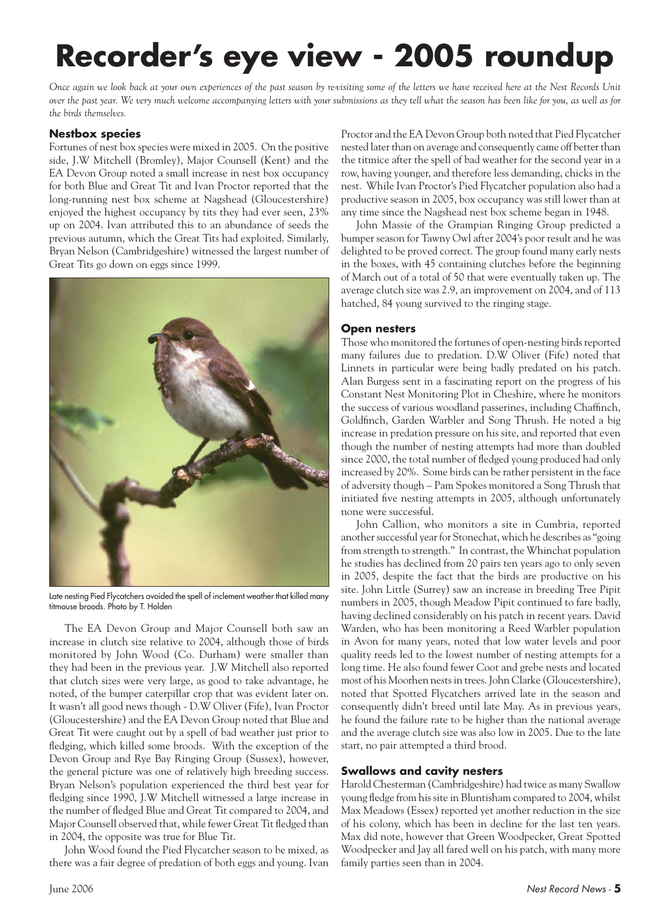## **Recorder's eye view - 2005 roundup**

*Once again we look back at your own experiences of the past season by re-visiting some of the letters we have received here at the Nest Records Unit over the past year. We very much welcome accompanying letters with your submissions as they tell what the season has been like for you, as well as for the birds themselves.*

### **Nestbox species**

Fortunes of nest box species were mixed in 2005. On the positive side, J.W Mitchell (Bromley), Major Counsell (Kent) and the EA Devon Group noted a small increase in nest box occupancy for both Blue and Great Tit and Ivan Proctor reported that the long-running nest box scheme at Nagshead (Gloucestershire) enjoyed the highest occupancy by tits they had ever seen, 23% up on 2004. Ivan attributed this to an abundance of seeds the previous autumn, which the Great Tits had exploited. Similarly, Bryan Nelson (Cambridgeshire) witnessed the largest number of Great Tits go down on eggs since 1999.



Late nesting Pied Flycatchers avoided the spell of inclement weather that killed many titmouse broods. Photo by T. Holden

The EA Devon Group and Major Counsell both saw an increase in clutch size relative to 2004, although those of birds monitored by John Wood (Co. Durham) were smaller than they had been in the previous year. J.W Mitchell also reported that clutch sizes were very large, as good to take advantage, he noted, of the bumper caterpillar crop that was evident later on. It wasn't all good news though - D.W Oliver (Fife), Ivan Proctor (Gloucestershire) and the EA Devon Group noted that Blue and Great Tit were caught out by a spell of bad weather just prior to fledging, which killed some broods. With the exception of the Devon Group and Rye Bay Ringing Group (Sussex), however, the general picture was one of relatively high breeding success. Bryan Nelson's population experienced the third best year for fledging since 1990, J.W Mitchell witnessed a large increase in the number of fledged Blue and Great Tit compared to 2004, and Major Counsell observed that, while fewer Great Tit fledged than in 2004, the opposite was true for Blue Tit.

John Wood found the Pied Flycatcher season to be mixed, as there was a fair degree of predation of both eggs and young. Ivan

Proctor and the EA Devon Group both noted that Pied Flycatcher nested later than on average and consequently came off better than the titmice after the spell of bad weather for the second year in a row, having younger, and therefore less demanding, chicks in the nest. While Ivan Proctor's Pied Flycatcher population also had a productive season in 2005, box occupancy was still lower than at any time since the Nagshead nest box scheme began in 1948.

John Massie of the Grampian Ringing Group predicted a bumper season for Tawny Owl after 2004's poor result and he was delighted to be proved correct. The group found many early nests in the boxes, with 45 containing clutches before the beginning of March out of a total of 50 that were eventually taken up. The average clutch size was 2.9, an improvement on 2004, and of 113 hatched, 84 young survived to the ringing stage.

### **Open nesters**

Those who monitored the fortunes of open-nesting birds reported many failures due to predation. D.W Oliver (Fife) noted that Linnets in particular were being badly predated on his patch. Alan Burgess sent in a fascinating report on the progress of his Constant Nest Monitoring Plot in Cheshire, where he monitors the success of various woodland passerines, including Chaffinch, Goldfinch, Garden Warbler and Song Thrush. He noted a big increase in predation pressure on his site, and reported that even though the number of nesting attempts had more than doubled since 2000, the total number of fledged young produced had only increased by 20%. Some birds can be rather persistent in the face of adversity though – Pam Spokes monitored a Song Thrush that initiated five nesting attempts in 2005, although unfortunately none were successful.

John Callion, who monitors a site in Cumbria, reported another successful year for Stonechat, which he describes as "going from strength to strength." In contrast, the Whinchat population he studies has declined from 20 pairs ten years ago to only seven in 2005, despite the fact that the birds are productive on his site. John Little (Surrey) saw an increase in breeding Tree Pipit numbers in 2005, though Meadow Pipit continued to fare badly, having declined considerably on his patch in recent years. David Warden, who has been monitoring a Reed Warbler population in Avon for many years, noted that low water levels and poor quality reeds led to the lowest number of nesting attempts for a long time. He also found fewer Coot and grebe nests and located most of his Moorhen nests in trees. John Clarke (Gloucestershire), noted that Spotted Flycatchers arrived late in the season and consequently didn't breed until late May. As in previous years, he found the failure rate to be higher than the national average and the average clutch size was also low in 2005. Due to the late start, no pair attempted a third brood.

### **Swallows and cavity nesters**

Harold Chesterman (Cambridgeshire) had twice as many Swallow young fledge from his site in Bluntisham compared to 2004, whilst Max Meadows (Essex) reported yet another reduction in the size of his colony, which has been in decline for the last ten years. Max did note, however that Green Woodpecker, Great Spotted Woodpecker and Jay all fared well on his patch, with many more family parties seen than in 2004.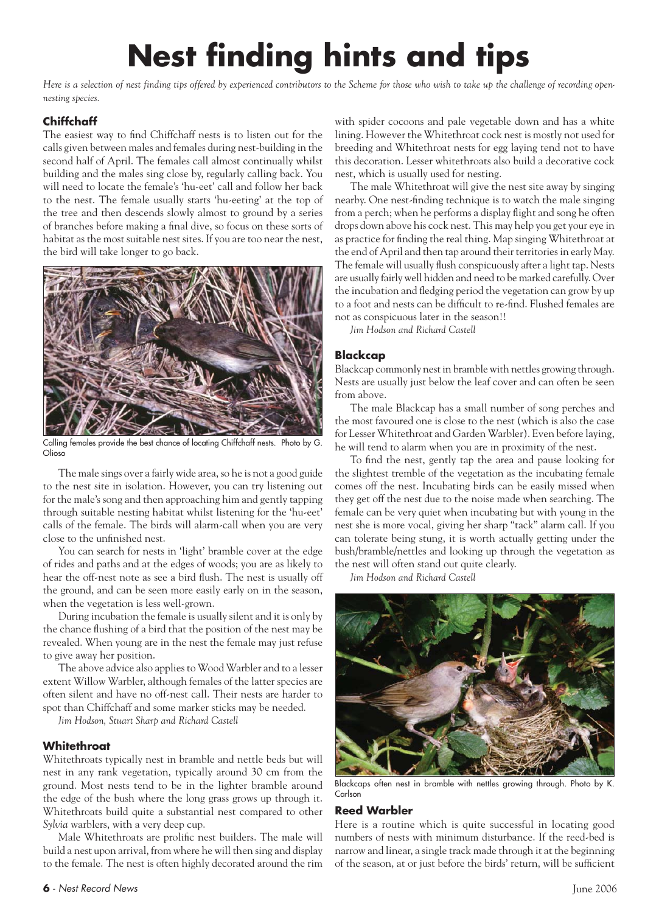## **Nest finding hints and tips**

*Here is a selection of nest finding tips offered by experienced contributors to the Scheme for those who wish to take up the challenge of recording opennesting species.*

### **Chiffchaff**

The easiest way to find Chiffchaff nests is to listen out for the calls given between males and females during nest-building in the second half of April. The females call almost continually whilst building and the males sing close by, regularly calling back. You will need to locate the female's 'hu-eet' call and follow her back to the nest. The female usually starts 'hu-eeting' at the top of the tree and then descends slowly almost to ground by a series of branches before making a final dive, so focus on these sorts of habitat as the most suitable nest sites. If you are too near the nest, the bird will take longer to go back.



Calling females provide the best chance of locating Chiffchaff nests. Photo by G. Olioso

The male sings over a fairly wide area, so he is not a good guide to the nest site in isolation. However, you can try listening out for the male's song and then approaching him and gently tapping through suitable nesting habitat whilst listening for the 'hu-eet' calls of the female. The birds will alarm-call when you are very close to the unfinished nest.

You can search for nests in 'light' bramble cover at the edge of rides and paths and at the edges of woods; you are as likely to hear the off-nest note as see a bird flush. The nest is usually off the ground, and can be seen more easily early on in the season, when the vegetation is less well-grown.

During incubation the female is usually silent and it is only by the chance flushing of a bird that the position of the nest may be revealed. When young are in the nest the female may just refuse to give away her position.

The above advice also applies to Wood Warbler and to a lesser extent Willow Warbler, although females of the latter species are often silent and have no off-nest call. Their nests are harder to spot than Chiffchaff and some marker sticks may be needed.

*Jim Hodson, Stuart Sharp and Richard Castell*

### **Whitethroat**

Whitethroats typically nest in bramble and nettle beds but will nest in any rank vegetation, typically around 30 cm from the ground. Most nests tend to be in the lighter bramble around the edge of the bush where the long grass grows up through it. Whitethroats build quite a substantial nest compared to other *Sylvia* warblers, with a very deep cup.

Male Whitethroats are prolific nest builders. The male will build a nest upon arrival, from where he will then sing and display to the female. The nest is often highly decorated around the rim

The male Whitethroat will give the nest site away by singing nearby. One nest-finding technique is to watch the male singing from a perch; when he performs a display flight and song he often drops down above his cock nest. This may help you get your eye in as practice for finding the real thing. Map singing Whitethroat at the end of April and then tap around their territories in early May. The female will usually flush conspicuously after a light tap. Nests are usually fairly well hidden and need to be marked carefully. Over the incubation and fledging period the vegetation can grow by up to a foot and nests can be difficult to re-find. Flushed females are not as conspicuous later in the season!!

*Jim Hodson and Richard Castell*

### **Blackcap**

Blackcap commonly nest in bramble with nettles growing through. Nests are usually just below the leaf cover and can often be seen from above.

The male Blackcap has a small number of song perches and the most favoured one is close to the nest (which is also the case for Lesser Whitethroat and Garden Warbler). Even before laying, he will tend to alarm when you are in proximity of the nest.

To find the nest, gently tap the area and pause looking for the slightest tremble of the vegetation as the incubating female comes off the nest. Incubating birds can be easily missed when they get off the nest due to the noise made when searching. The female can be very quiet when incubating but with young in the nest she is more vocal, giving her sharp "tack" alarm call. If you can tolerate being stung, it is worth actually getting under the bush/bramble/nettles and looking up through the vegetation as the nest will often stand out quite clearly.

*Jim Hodson and Richard Castell*



Blackcaps often nest in bramble with nettles growing through. Photo by K. Carlson

### **Reed Warbler**

Here is a routine which is quite successful in locating good numbers of nests with minimum disturbance. If the reed-bed is narrow and linear, a single track made through it at the beginning of the season, at or just before the birds' return, will be sufficient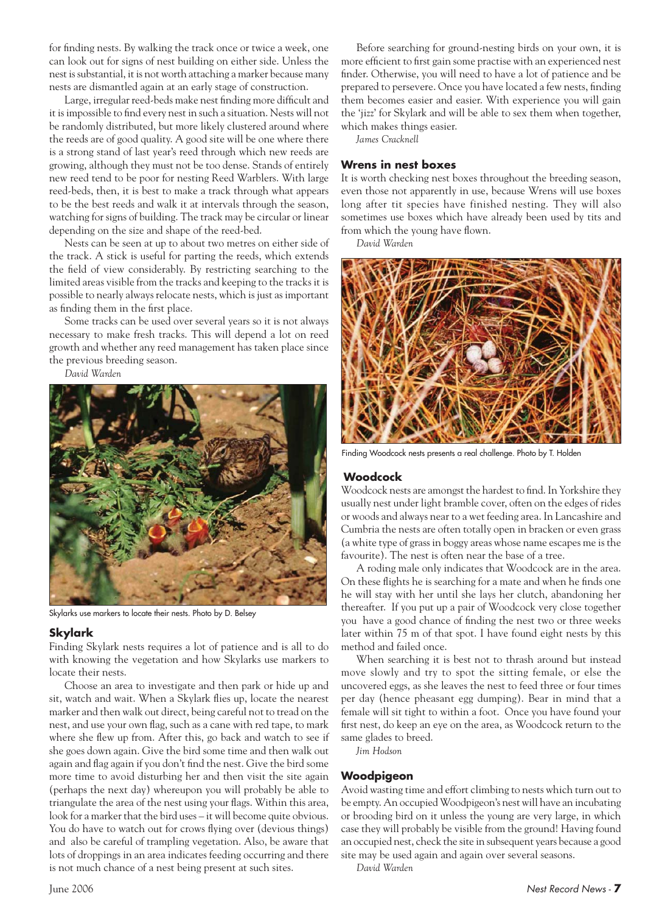for finding nests. By walking the track once or twice a week, one can look out for signs of nest building on either side. Unless the nest is substantial, it is not worth attaching a marker because many nests are dismantled again at an early stage of construction.

Large, irregular reed-beds make nest finding more difficult and it is impossible to find every nest in such a situation. Nests will not be randomly distributed, but more likely clustered around where the reeds are of good quality. A good site will be one where there is a strong stand of last year's reed through which new reeds are growing, although they must not be too dense. Stands of entirely new reed tend to be poor for nesting Reed Warblers. With large reed-beds, then, it is best to make a track through what appears to be the best reeds and walk it at intervals through the season, watching for signs of building. The track may be circular or linear depending on the size and shape of the reed-bed.

Nests can be seen at up to about two metres on either side of the track. A stick is useful for parting the reeds, which extends the field of view considerably. By restricting searching to the limited areas visible from the tracks and keeping to the tracks it is possible to nearly always relocate nests, which is just as important as finding them in the first place.

Some tracks can be used over several years so it is not always necessary to make fresh tracks. This will depend a lot on reed growth and whether any reed management has taken place since the previous breeding season.

*David Warden*



Skylarks use markers to locate their nests. Photo by D. Belsey

### **Skylark**

Finding Skylark nests requires a lot of patience and is all to do with knowing the vegetation and how Skylarks use markers to locate their nests.

Choose an area to investigate and then park or hide up and sit, watch and wait. When a Skylark flies up, locate the nearest marker and then walk out direct, being careful not to tread on the nest, and use your own flag, such as a cane with red tape, to mark where she flew up from. After this, go back and watch to see if she goes down again. Give the bird some time and then walk out again and flag again if you don't find the nest. Give the bird some more time to avoid disturbing her and then visit the site again (perhaps the next day) whereupon you will probably be able to triangulate the area of the nest using your flags. Within this area, look for a marker that the bird uses – it will become quite obvious. You do have to watch out for crows flying over (devious things) and also be careful of trampling vegetation. Also, be aware that lots of droppings in an area indicates feeding occurring and there is not much chance of a nest being present at such sites.

Before searching for ground-nesting birds on your own, it is more efficient to first gain some practise with an experienced nest finder. Otherwise, you will need to have a lot of patience and be prepared to persevere. Once you have located a few nests, finding them becomes easier and easier. With experience you will gain the 'jizz' for Skylark and will be able to sex them when together, which makes things easier.

*James Cracknell*

### **Wrens in nest boxes**

It is worth checking nest boxes throughout the breeding season, even those not apparently in use, because Wrens will use boxes long after tit species have finished nesting. They will also sometimes use boxes which have already been used by tits and from which the young have flown.

*David Warden*



Finding Woodcock nests presents a real challenge. Photo by T. Holden

#### **Woodcock**

Woodcock nests are amongst the hardest to find. In Yorkshire they usually nest under light bramble cover, often on the edges of rides or woods and always near to a wet feeding area. In Lancashire and Cumbria the nests are often totally open in bracken or even grass (a white type of grass in boggy areas whose name escapes me is the favourite). The nest is often near the base of a tree.

A roding male only indicates that Woodcock are in the area. On these flights he is searching for a mate and when he finds one he will stay with her until she lays her clutch, abandoning her thereafter. If you put up a pair of Woodcock very close together you have a good chance of finding the nest two or three weeks later within 75 m of that spot. I have found eight nests by this method and failed once.

When searching it is best not to thrash around but instead move slowly and try to spot the sitting female, or else the uncovered eggs, as she leaves the nest to feed three or four times per day (hence pheasant egg dumping). Bear in mind that a female will sit tight to within a foot. Once you have found your first nest, do keep an eye on the area, as Woodcock return to the same glades to breed.

*Jim Hodson*

### **Woodpigeon**

Avoid wasting time and effort climbing to nests which turn out to be empty. An occupied Woodpigeon's nest will have an incubating or brooding bird on it unless the young are very large, in which case they will probably be visible from the ground! Having found an occupied nest, check the site in subsequent years because a good site may be used again and again over several seasons.

*David Warden*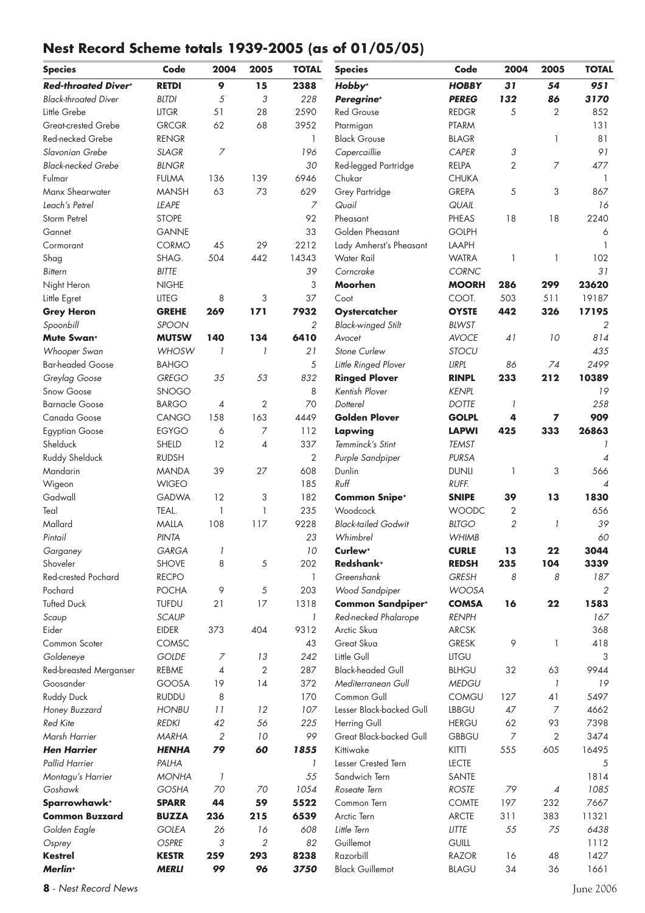### **Nest Record Scheme totals 1939-2005 (as of 01/05/05)**

| <b>Species</b>              | Code         | 2004           | 2005                     | <b>TOTAL</b>   | <b>Species</b>             | Code         | 2004           | 2005                     | <b>TOTAL</b>             |
|-----------------------------|--------------|----------------|--------------------------|----------------|----------------------------|--------------|----------------|--------------------------|--------------------------|
| <b>Red-throated Divert</b>  | <b>RETDI</b> | 9              | 15                       | 2388           | Hobby <sup>+</sup>         | <b>HOBBY</b> | 31             | 54                       | 951                      |
| <b>Black-throated Diver</b> | <b>BLTDI</b> | 5              | 3                        | 228            | Peregrine <sup>+</sup>     | <b>PEREG</b> | 132            | 86                       | 3170                     |
| Little Grebe                | <b>LITGR</b> | 51             | 28                       | 2590           | <b>Red Grouse</b>          | <b>REDGR</b> | 5              | $\overline{2}$           | 852                      |
| <b>Great-crested Grebe</b>  | <b>GRCGR</b> | 62             | 68                       | 3952           | Ptarmigan                  | <b>PTARM</b> |                |                          | 131                      |
| Red-necked Grebe            | <b>RENGR</b> |                |                          | $\mathbf{1}$   | <b>Black Grouse</b>        | <b>BLAGR</b> |                | 1                        | 81                       |
| Slavonian Grebe             | <b>SLAGR</b> | $\overline{z}$ |                          | 196            | Capercaillie               | CAPER        | 3              |                          | 91                       |
| <b>Black-necked Grebe</b>   | <b>BLNGR</b> |                |                          | 30             | Red-legged Partridge       | <b>RELPA</b> | $\overline{2}$ | 7                        | 477                      |
| Fulmar                      | <b>FULMA</b> | 136            | 139                      | 6946           | Chukar                     | <b>CHUKA</b> |                |                          | $\overline{1}$           |
| Manx Shearwater             | <b>MANSH</b> | 63             | 73                       | 629            | Grey Partridge             | <b>GREPA</b> | 5              | 3                        | 867                      |
| Leach's Petrel              | <b>LEAPE</b> |                |                          | $\overline{z}$ | Quail                      | QUAIL        |                |                          | 16                       |
| Storm Petrel                | <b>STOPE</b> |                |                          | 92             | Pheasant                   | <b>PHEAS</b> | 18             | 18                       | 2240                     |
| Gannet                      | <b>GANNE</b> |                |                          | 33             | Golden Pheasant            | <b>GOLPH</b> |                |                          | 6                        |
| Cormorant                   | CORMO        | 45             | 29                       | 2212           | Lady Amherst's Pheasant    | LAAPH        |                |                          | 1                        |
| Shag                        | SHAG.        | 504            | 442                      | 14343          | Water Rail                 | <b>WATRA</b> | 1              | 1                        | 102                      |
| <b>Bittern</b>              | <b>BITTE</b> |                |                          | 39             | Corncrake                  | CORNC        |                |                          | 31                       |
| Night Heron                 | <b>NIGHE</b> |                |                          | 3              | Moorhen                    | <b>MOORH</b> | 286            | 299                      | 23620                    |
| Little Egret                | <b>LITEG</b> | 8              | 3                        | 37             | Coot                       | COOT.        | 503            | 511                      | 19187                    |
| <b>Grey Heron</b>           | <b>GREHE</b> | 269            | 171                      | 7932           | Oystercatcher              | <b>OYSTE</b> | 442            | 326                      | 17195                    |
| Spoonbill                   | SPOON        |                |                          | $\overline{2}$ | <b>Black-winged Stilt</b>  | <b>BLWST</b> |                |                          | $\overline{2}$           |
| Mute Swan <sup>+</sup>      | <b>MUTSW</b> | 140            | 134                      | 6410           | Avocet                     | <b>AVOCE</b> | 41             | 10                       | 814                      |
| Whooper Swan                | WHOSW        | 1              | $\overline{\phantom{a}}$ | 21             | Stone Curlew               | <b>STOCU</b> |                |                          | 435                      |
| <b>Bar-headed Goose</b>     | <b>BAHGO</b> |                |                          | $\overline{5}$ | Little Ringed Plover       | LIRPL        | 86             | 74                       | 2499                     |
| Greylag Goose               | <b>GREGO</b> | 35             | 53                       | 832            | <b>Ringed Plover</b>       | <b>RINPL</b> | 233            | 212                      | 10389                    |
| Snow Goose                  | SNOGO        |                |                          | 8              | Kentish Plover             | <b>KENPL</b> |                |                          | 19                       |
| <b>Barnacle Goose</b>       | <b>BARGO</b> | $\overline{4}$ | $\overline{2}$           | 70             | Dotterel                   | <b>DOTTE</b> | $\overline{1}$ |                          | 258                      |
| Canada Goose                | CANGO        | 158            | 163                      | 4449           | <b>Golden Plover</b>       | <b>GOLPL</b> | 4              | 7                        | 909                      |
| <b>Egyptian Goose</b>       | <b>EGYGO</b> | 6              | 7                        | 112            | Lapwing                    | <b>LAPWI</b> | 425            | 333                      | 26863                    |
| Shelduck                    | SHELD        | 12             | $\overline{4}$           | 337            | Temminck's Stint           | <b>TEMST</b> |                |                          |                          |
| Ruddy Shelduck              | <b>RUDSH</b> |                |                          | 2              | Purple Sandpiper           | <b>PURSA</b> |                |                          | $\overline{\mathcal{A}}$ |
| Mandarin                    | <b>MANDA</b> | 39             | 27                       | 608            | Dunlin                     | <b>DUNLI</b> | 1              | 3                        | 566                      |
| Wigeon                      | <b>WIGEO</b> |                |                          | 185            | Ruff                       | RUFF.        |                |                          | $\overline{A}$           |
| Gadwall                     | <b>GADWA</b> | 12             | 3                        | 182            | <b>Common Snipe*</b>       | <b>SNIPE</b> | 39             | 13                       | 1830                     |
| Teal                        | TEAL.        | 1              | 1                        | 235            | Woodcock                   | <b>WOODC</b> | 2              |                          | 656                      |
| Mallard                     | MALLA        | 108            | 117                      | 9228           | <b>Black-tailed Godwit</b> | <b>BLTGO</b> | $\overline{2}$ | 1                        | 39                       |
| Pintail                     | PINTA        |                |                          | 23             | Whimbrel                   | <b>WHIMB</b> |                |                          | 60                       |
| Garganey                    | GARGA        |                |                          | $10\,$         | Curlew <sup>+</sup>        | <b>CURLE</b> | 13             | 22                       | 3044                     |
| Shoveler                    | <b>SHOVE</b> | 8              | $\sqrt{5}$               | 202            | Redshank <sup>+</sup>      | <b>REDSH</b> | 235            | 104                      | 3339                     |
| <b>Red-crested Pochard</b>  | <b>RECPO</b> |                |                          | 1              | Greenshank                 | <b>GRESH</b> | 8              | 8                        | 187                      |
| Pochard                     | <b>POCHA</b> | 9              | 5                        | 203            | Wood Sandpiper             | <b>WOOSA</b> |                |                          | 2                        |
| <b>Tufted Duck</b>          | <b>TUFDU</b> | 21             | 17                       | 1318           | <b>Common Sandpiper*</b>   | <b>COMSA</b> | 16             | 22                       | 1583                     |
| Scaup                       | <b>SCAUP</b> |                |                          | 1              | Red-necked Phalarope       | <b>RENPH</b> |                |                          | 167                      |
| Eider                       | EIDER        | 373            | 404                      | 9312           | Arctic Skua                | <b>ARCSK</b> |                |                          | 368                      |
| Common Scoter               | COMSC        |                |                          | 43             | Great Skua                 | <b>GRESK</b> | 9              | 1                        | 418                      |
| Goldeneye                   | <b>GOLDE</b> | $\overline{z}$ | 13                       | 242            | Little Gull                | LITGU        |                |                          | 3                        |
| Red-breasted Merganser      | REBME        | 4              | $\overline{2}$           | 287            | <b>Black-headed Gull</b>   | <b>BLHGU</b> | 32             | 63                       | 9944                     |
| Goosander                   | GOOSA        | 19             | 14                       | 372            | Mediterranean Gull         | <b>MEDGU</b> |                | 1                        | 19                       |
| <b>Ruddy Duck</b>           | <b>RUDDU</b> | 8              |                          | 170            | Common Gull                | <b>COMGU</b> | 127            | 41                       | 5497                     |
| Honey Buzzard               | <b>HONBU</b> | 11             | 12                       | 107            | Lesser Black-backed Gull   | <b>LBBGU</b> | 47             | $\overline{7}$           | 4662                     |
| <b>Red Kite</b>             | <b>REDKI</b> | 42             | 56                       | 225            | Herring Gull               | <b>HERGU</b> | 62             | 93                       | 7398                     |
| Marsh Harrier               | <b>MARHA</b> | 2              | 10                       | 99             | Great Black-backed Gull    | <b>GBBGU</b> | $\overline{7}$ | $\overline{2}$           | 3474                     |
| <b>Hen Harrier</b>          | <b>HENHA</b> | 79             | 60                       | 1855           | Kittiwake                  | <b>KITTI</b> | 555            | 605                      | 16495                    |
| Pallid Harrier              | PALHA        |                |                          | 1              | Lesser Crested Tern        | <b>LECTE</b> |                |                          | 5                        |
| Montagu's Harrier           | <b>MONHA</b> | $\overline{1}$ |                          | 55             | Sandwich Tern              | SANTE        |                |                          | 1814                     |
| Goshawk                     | <b>GOSHA</b> | 70             | 70                       | 1054           | Roseate Tern               | <b>ROSTE</b> | 79             | $\overline{\mathcal{A}}$ | 1085                     |
| Sparrowhawk <sup>+</sup>    | <b>SPARR</b> | 44             | 59                       | 5522           | Common Tern                | <b>COMTE</b> | 197            | 232                      | 7667                     |
| <b>Common Buzzard</b>       | <b>BUZZA</b> | 236            | 215                      | 6539           | Arctic Tern                | <b>ARCTE</b> | 311            | 383                      | 11321                    |
| Golden Eagle                | <b>GOLEA</b> | 26             | 16                       | 608            | Little Tern                | <b>LITTE</b> | 55             | 75                       | 6438                     |
| Osprey                      | <b>OSPRE</b> | 3              | $\mathfrak{2}$           | 82             | Guillemot                  | <b>GUILL</b> |                |                          | 1112                     |
| <b>Kestrel</b>              | <b>KESTR</b> | 259            | 293                      | 8238           | Razorbill                  | <b>RAZOR</b> | 16             | 48                       | 1427                     |
| Merlin <sup>+</sup>         | <b>MERLI</b> | 99             | 96                       | 3750           | <b>Black Guillemot</b>     | <b>BLAGU</b> | 34             | 36                       | 1661                     |

**8** - *Nest Record News* June 2006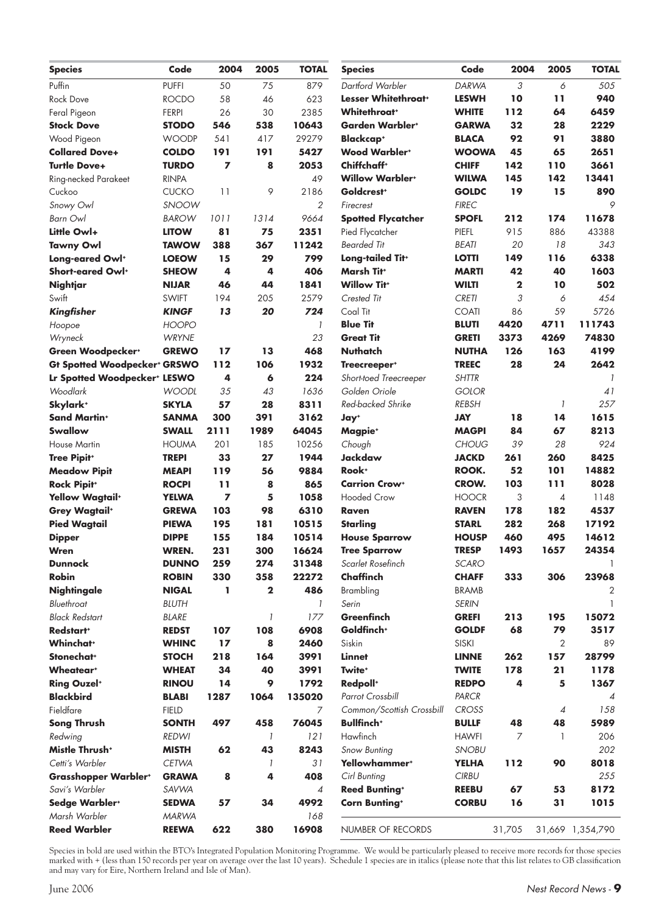| Code<br><b>TOTAL</b><br>2004<br>2004<br>2005<br>Code<br>2005<br><b>Species</b><br><b>Species</b>                             | <b>TOTAL</b>     |
|------------------------------------------------------------------------------------------------------------------------------|------------------|
| Puffin<br><b>PUFFI</b><br>879<br>Dartford Warbler<br><b>DARWA</b><br>3<br>50<br>75<br>6                                      | 505              |
| Lesser Whitethroat <sup>+</sup><br>10<br>11<br>58<br>46<br><b>LESWH</b><br><b>Rock Dove</b><br><b>ROCDO</b><br>623           | 940              |
| <b>Whitethroat</b> *<br>30<br>2385<br><b>WHITE</b><br>112<br>64<br>Feral Pigeon<br><b>FERPI</b><br>26                        | 6459             |
| 538<br>10643<br><b>Garden Warbler*</b><br>32<br>28<br><b>Stock Dove</b><br><b>STODO</b><br>546<br><b>GARWA</b>               | 2229             |
| 92<br>91<br>417<br>29279<br><b>Blackcap</b> <sup>+</sup><br><b>BLACA</b><br>Wood Pigeon<br><b>WOODP</b><br>541               | 3880             |
| <b>Wood Warblert</b><br>45<br>191<br>191<br>5427<br><b>WOOWA</b><br>65<br><b>Collared Dove+</b><br><b>COLDO</b>              | 2651             |
| Chiffchaff <sup>+</sup><br>7<br>8<br>2053<br>142<br><b>Turtle Dove+</b><br><b>TURDO</b><br><b>CHIFF</b><br>110               | 3661             |
| <b>Willow Warblert</b><br>145<br>142<br><b>WILWA</b><br>Ring-necked Parakeet<br><b>RINPA</b><br>49                           | 13441            |
| Goldcrest <sup>+</sup><br>19<br>9<br>2186<br><b>GOLDC</b><br>15<br>Cuckoo<br><b>CUCKO</b><br>11                              | 890              |
| <b>FIREC</b><br>SNOOW<br>2<br>Snowy Owl<br>Firecrest                                                                         | 9                |
| <b>Spotted Flycatcher</b><br><b>SPOFL</b><br>212<br>174<br><b>Barn Owl</b><br><b>BAROW</b><br>1011<br>1314<br>9664           | 11678            |
| Pied Flycatcher<br>PIEFL<br>915<br>886<br>Little Owl+<br>2351<br><b>LITOW</b><br>81<br>75                                    | 43388            |
| 367<br>11242<br><b>Bearded Tit</b><br><b>Tawny Owl</b><br><b>TAWOW</b><br>388<br><b>BEATI</b><br>20<br>18                    | 343              |
| 799<br>Long-eared Owl+<br><b>LOEOW</b><br>15<br>29<br>Long-tailed Tit <sup>+</sup><br><b>LOTTI</b><br>149<br>116             | 6338             |
| <b>Marsh Tit+</b><br>42<br>4<br>406<br><b>MARTI</b><br>40<br>Short-eared Owl <sup>+</sup><br><b>SHEOW</b><br>4               | 1603             |
| 46<br><b>Willow Tit+</b><br>$\mathbf 2$<br><b>NIJAR</b><br>44<br>1841<br><b>WILTI</b><br>10<br>Nightjar                      | 502              |
| 3<br>Swift<br><b>SWIFT</b><br>2579<br>Crested Tit<br><b>CRETI</b><br>194<br>205<br>6                                         | 454              |
| Coal Tit<br>86<br>59<br>13<br>20<br>724<br><b>COATI</b><br><b>KINGF</b><br>Kingfisher                                        | 5726             |
| <b>Blue Tit</b><br>4420<br><b>HOOPO</b><br>4711<br>1<br><b>BLUTI</b><br>Hoopoe                                               | 111743           |
| 23<br>4269<br><b>WRYNE</b><br><b>Great Tit</b><br><b>GRETI</b><br>3373<br>Wryneck                                            | 74830            |
| <b>Nuthatch</b><br>13<br>468<br>126<br>163<br>Green Woodpecker*<br><b>GREWO</b><br>17<br><b>NUTHA</b>                        | 4199             |
| 1932<br>28<br>24<br><b>Gt Spotted Woodpecker<sup>+</sup> GRSWO</b><br>112<br>106<br><b>TREEC</b><br>Treecreeper <sup>+</sup> | 2642             |
| 4<br>224<br>Lr Spotted Woodpecker <sup>+</sup> LESWO<br>6<br>Short-toed Treecreeper<br><b>SHTTR</b>                          |                  |
| Golden Oriole<br>Woodlark<br>35<br>1636<br><b>GOLOR</b><br><b>WOODL</b><br>43                                                | 41               |
| Skylark <sup>+</sup><br>57<br>8311<br>Red-backed Shrike<br><b>SKYLA</b><br>28<br><b>REBSH</b><br>$\overline{\phantom{a}}$    | 257              |
| <b>Sand Martin*</b><br>391<br><b>SANMA</b><br>300<br>3162<br><b>JAY</b><br>18<br>14<br>Jay <sup>+</sup>                      | 1615             |
| <b>Swallow</b><br>1989<br>64045<br><b>MAGPI</b><br>84<br>67<br><b>SWALL</b><br>2111<br>Magpie <sup>+</sup>                   | 8213             |
| 10256<br>39<br>28<br><b>HOUMA</b><br>201<br>185<br><b>CHOUG</b><br><b>House Martin</b><br>Chough                             | 924              |
| 33<br>27<br>1944<br><b>Jackdaw</b><br>261<br>260<br><b>Tree Pipit+</b><br><b>TREPI</b><br><b>JACKD</b>                       | 8425             |
| Rook <sup>+</sup><br>52<br>101<br>9884<br>ROOK.<br>119<br>56<br><b>Meadow Pipit</b><br><b>MEAPI</b>                          | 14882            |
| <b>Carrion Crow+</b><br><b>Rock Pipit+</b><br><b>ROCPI</b><br>11<br>8<br>865<br><b>CROW.</b><br>103<br>111                   | 8028             |
| <b>Hooded Crow</b><br><b>YELWA</b><br>7<br>5<br>1058<br><b>HOOCR</b><br>3<br><b>Yellow Wagtail</b> <sup>+</sup><br>4         | 1148             |
| 6310<br><b>RAVEN</b><br>178<br>182<br><b>Grey Wagtail</b> <sup>+</sup><br><b>GREWA</b><br>103<br>98<br>Raven                 | 4537             |
| <b>Pied Wagtail</b><br><b>PIEWA</b><br>195<br>181<br>10515<br><b>Starling</b><br><b>STARL</b><br>282<br>268                  | 17192            |
| 10514<br>495<br><b>DIPPE</b><br>155<br>184<br><b>HOUSP</b><br>460<br><b>House Sparrow</b><br><b>Dipper</b>                   | 14612            |
| WREN.<br>231<br>300<br>16624<br><b>Tree Sparrow</b><br><b>TRESP</b><br>1493<br>1657<br>Wren                                  | 24354            |
| <b>SCARO</b><br>259<br>274<br>31348<br>Scarlet Rosefinch<br><b>Dunnock</b><br><b>DUNNO</b>                                   |                  |
| Chaffinch<br><b>Robin</b><br>330<br>358<br>22272<br>306<br><b>ROBIN</b><br><b>CHAFF</b><br>333                               | 23968            |
| $\mathbf{2}$<br>486<br>Brambling<br><b>BRAMB</b><br><b>Nightingale</b><br><b>NIGAL</b><br>L                                  | 2                |
| Bluethroat<br><b>BLUTH</b><br>Serin<br><b>SERIN</b><br>$\mathcal{I}$                                                         |                  |
| <b>Black Redstart</b><br>$\mathcal{I}$<br>177<br><b>Greenfinch</b><br><b>GREFI</b><br>195<br><b>BLARE</b><br>213             | 15072            |
| Goldfinch <sup>+</sup><br>68<br>79<br>Redstart <sup>+</sup><br>107<br>108<br>6908<br><b>GOLDF</b><br><b>REDST</b>            | 3517             |
| <b>Whinchat</b> *<br>Siskin<br>2<br>17<br>8<br>2460<br><b>SISKI</b><br><b>WHINC</b>                                          | 89               |
| Stonechat <sup>+</sup><br>218<br><b>Linnet</b><br><b>STOCH</b><br>164<br>3991<br><b>LINNE</b><br>262<br>157                  | 28799            |
| Twite <sup>+</sup><br>21<br>34<br>40<br><b>TWITE</b><br>178<br><b>Wheatear</b> *<br><b>WHEAT</b><br>3991                     | 1178             |
| 4<br><b>Ring Ouzel*</b><br>14<br>9<br>Redpoll <sup>+</sup><br><b>REDPO</b><br>5<br><b>RINOU</b><br>1792                      | 1367             |
| <b>Blackbird</b><br>1287<br>135020<br>Parrot Crossbill<br><b>BLABI</b><br>1064<br>PARCR                                      | $\overline{4}$   |
| Fieldfare<br>7<br><b>FIELD</b><br>Common/Scottish Crossbill<br><b>CROSS</b><br>$\overline{4}$                                | 158              |
| 76045<br><b>Bullfinch</b> <sup>+</sup><br>48<br><b>BULLF</b><br>48<br>Song Thrush<br><b>SONTH</b><br>497<br>458              | 5989             |
| Hawfinch<br>121<br><b>REDWI</b><br><b>HAWFI</b><br>7<br>Redwing<br>$\mathcal{I}$<br>$\mathbf{1}$                             | 206              |
| Mistle Thrush <sup>+</sup><br>43<br>8243<br><b>MISTH</b><br>62<br>Snow Bunting<br><b>SNOBU</b>                               | 202              |
| Yellowhammer <sup>+</sup><br>90<br>Cetti's Warbler<br><b>CETWA</b><br>31<br><b>YELHA</b><br>112<br>1                         | 8018             |
| 408<br>Cirl Bunting<br><b>CIRBU</b><br><b>Grasshopper Warblert</b><br><b>GRAWA</b><br>8<br>4                                 | 255              |
| 53<br>Savi's Warbler<br>SAVWA<br><b>Reed Bunting*</b><br><b>REEBU</b><br>67<br>$\overline{4}$                                | 8172             |
| 31<br>Sedge Warbler*<br>4992<br><b>Corn Bunting*</b><br><b>CORBU</b><br>16<br><b>SEDWA</b><br>57<br>34                       | 1015             |
| Marsh Warbler<br><b>MARWA</b><br>168                                                                                         |                  |
| <b>Reed Warbler</b><br>380<br>16908<br><b>REEWA</b><br>622<br>NUMBER OF RECORDS<br>31,705                                    | 31,669 1,354,790 |

Species in bold are used within the BTO's Integrated Population Monitoring Programme. We would be particularly pleased to receive more records for those species marked with + (less than 150 records per year on average over the last 10 years). Schedule 1 species are in italics (please note that this list relates to GB classifi cation and may vary for Eire, Northern Ireland and Isle of Man).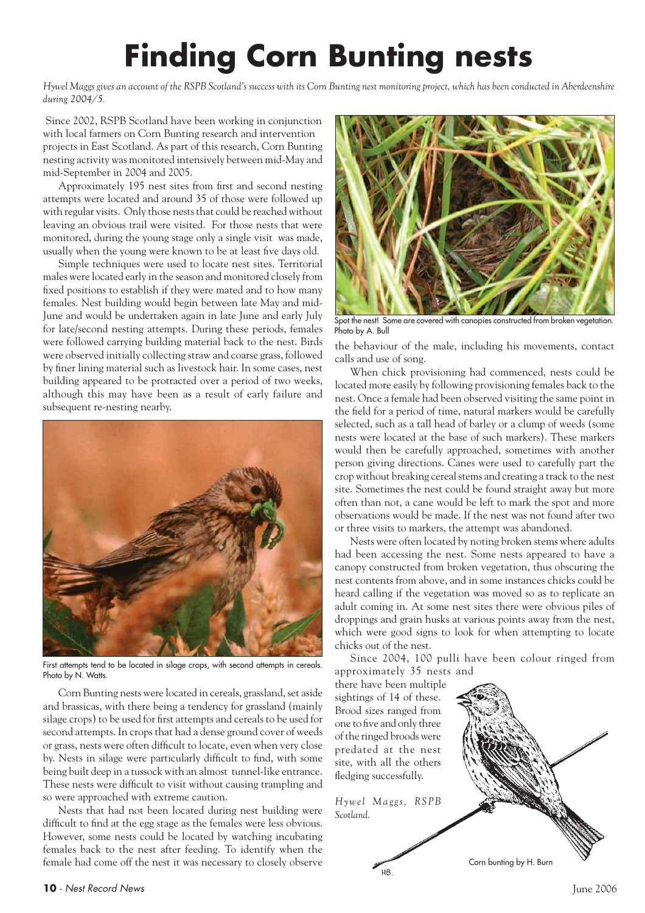## **Finding Corn Bunting nests**

*Hywel Maggs gives an account of the RSPB Scotland's success with its Corn Bunting nest monitoring project, which has been conducted in Aberdeenshire during 2004/5.*

 Since 2002, RSPB Scotland have been working in conjunction with local farmers on Corn Bunting research and intervention projects in East Scotland. As part of this research, Corn Bunting nesting activity was monitored intensively between mid-May and mid-September in 2004 and 2005.

Approximately 195 nest sites from first and second nesting attempts were located and around 35 of those were followed up with regular visits. Only those nests that could be reached without leaving an obvious trail were visited. For those nests that were monitored, during the young stage only a single visit was made, usually when the young were known to be at least five days old.

Simple techniques were used to locate nest sites. Territorial males were located early in the season and monitored closely from fixed positions to establish if they were mated and to how many females. Nest building would begin between late May and mid-June and would be undertaken again in late June and early July for late/second nesting attempts. During these periods, females were followed carrying building material back to the nest. Birds were observed initially collecting straw and coarse grass, followed by finer lining material such as livestock hair. In some cases, nest building appeared to be protracted over a period of two weeks, although this may have been as a result of early failure and subsequent re-nesting nearby.



First attempts tend to be located in silage crops, with second attempts in cereals. Photo by N. Watts.

Corn Bunting nests were located in cereals, grassland, set aside and brassicas, with there being a tendency for grassland (mainly silage crops) to be used for first attempts and cereals to be used for second attempts. In crops that had a dense ground cover of weeds or grass, nests were often difficult to locate, even when very close by. Nests in silage were particularly difficult to find, with some being built deep in a tussock with an almost tunnel-like entrance. These nests were difficult to visit without causing trampling and so were approached with extreme caution.

Nests that had not been located during nest building were difficult to find at the egg stage as the females were less obvious. However, some nests could be located by watching incubating females back to the nest after feeding. To identify when the female had come off the nest it was necessary to closely observe



Spot the nest! Some are covered with canopies constructed from broken vegetation. Photo by A. Bull

the behaviour of the male, including his movements, contact calls and use of song.

When chick provisioning had commenced, nests could be located more easily by following provisioning females back to the nest. Once a female had been observed visiting the same point in the field for a period of time, natural markers would be carefully selected, such as a tall head of barley or a clump of weeds (some nests were located at the base of such markers). These markers would then be carefully approached, sometimes with another person giving directions. Canes were used to carefully part the crop without breaking cereal stems and creating a track to the nest site. Sometimes the nest could be found straight away but more often than not, a cane would be left to mark the spot and more observations would be made. If the nest was not found after two or three visits to markers, the attempt was abandoned.

Nests were often located by noting broken stems where adults had been accessing the nest. Some nests appeared to have a canopy constructed from broken vegetation, thus obscuring the nest contents from above, and in some instances chicks could be heard calling if the vegetation was moved so as to replicate an adult coming in. At some nest sites there were obvious piles of droppings and grain husks at various points away from the nest, which were good signs to look for when attempting to locate chicks out of the nest.

Since 2004, 100 pulli have been colour ringed from approximately 35 nests and

there have been multiple sightings of 14 of these. Brood sizes ranged from one to five and only three of the ringed broods were predated at the nest site, with all the others fledging successfully.

*Hywel Maggs, RSPB Scotland.*

**HR** 

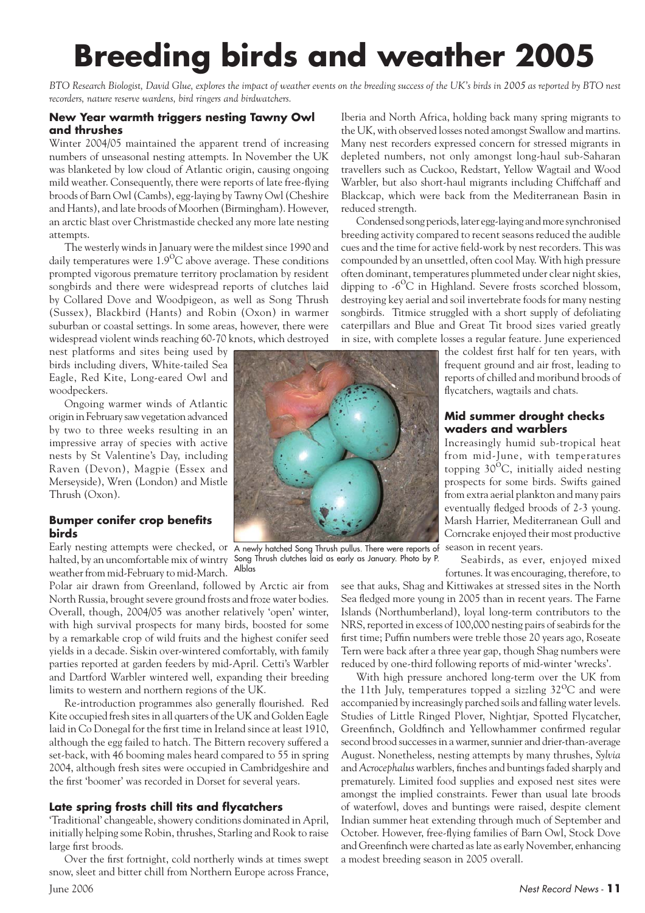## **Breeding birds and weather 2005**

*BTO Research Biologist, David Glue, explores the impact of weather events on the breeding success of the UK's birds in 2005 as reported by BTO nest recorders, nature reserve wardens, bird ringers and birdwatchers.*

### **New Year warmth triggers nesting Tawny Owl and thrushes**

Winter 2004/05 maintained the apparent trend of increasing numbers of unseasonal nesting attempts. In November the UK was blanketed by low cloud of Atlantic origin, causing ongoing mild weather. Consequently, there were reports of late free-flying broods of Barn Owl (Cambs), egg-laying by Tawny Owl (Cheshire and Hants), and late broods of Moorhen (Birmingham). However, an arctic blast over Christmastide checked any more late nesting attempts.

The westerly winds in January were the mildest since 1990 and daily temperatures were  $1.9^{\circ}$ C above average. These conditions prompted vigorous premature territory proclamation by resident songbirds and there were widespread reports of clutches laid by Collared Dove and Woodpigeon, as well as Song Thrush (Sussex), Blackbird (Hants) and Robin (Oxon) in warmer suburban or coastal settings. In some areas, however, there were widespread violent winds reaching 60-70 knots, which destroyed

nest platforms and sites being used by birds including divers, White-tailed Sea Eagle, Red Kite, Long-eared Owl and woodpeckers.

Ongoing warmer winds of Atlantic origin in February saw vegetation advanced by two to three weeks resulting in an impressive array of species with active nests by St Valentine's Day, including Raven (Devon), Magpie (Essex and Merseyside), Wren (London) and Mistle Thrush (Oxon).

### **Bumper conifer crop benefits birds**

Early nesting attempts were checked, or A newly hatched Song Thrush pullus. There were reports of halted, by an uncomfortable mix of wintry Song Thrush clutches laid as early as January. Photo by P. weather from mid-February to mid-March. Alblas

Polar air drawn from Greenland, followed by Arctic air from North Russia, brought severe ground frosts and froze water bodies. Overall, though, 2004/05 was another relatively 'open' winter, with high survival prospects for many birds, boosted for some by a remarkable crop of wild fruits and the highest conifer seed yields in a decade. Siskin over-wintered comfortably, with family parties reported at garden feeders by mid-April. Cetti's Warbler and Dartford Warbler wintered well, expanding their breeding limits to western and northern regions of the UK.

Re-introduction programmes also generally flourished. Red Kite occupied fresh sites in all quarters of the UK and Golden Eagle laid in Co Donegal for the first time in Ireland since at least 1910, although the egg failed to hatch. The Bittern recovery suffered a set-back, with 46 booming males heard compared to 55 in spring 2004, although fresh sites were occupied in Cambridgeshire and the first 'boomer' was recorded in Dorset for several years.

### **Late spring frosts chill tits and flycatchers**

'Traditional' changeable, showery conditions dominated in April, initially helping some Robin, thrushes, Starling and Rook to raise large first broods.

Over the first fortnight, cold northerly winds at times swept snow, sleet and bitter chill from Northern Europe across France,

Iberia and North Africa, holding back many spring migrants to the UK, with observed losses noted amongst Swallow and martins. Many nest recorders expressed concern for stressed migrants in depleted numbers, not only amongst long-haul sub-Saharan travellers such as Cuckoo, Redstart, Yellow Wagtail and Wood Warbler, but also short-haul migrants including Chiffchaff and Blackcap, which were back from the Mediterranean Basin in reduced strength.

Condensed song periods, later egg-laying and more synchronised breeding activity compared to recent seasons reduced the audible cues and the time for active field-work by nest recorders. This was compounded by an unsettled, often cool May. With high pressure often dominant, temperatures plummeted under clear night skies, dipping to  $-6^{\circ}$ C in Highland. Severe frosts scorched blossom, destroying key aerial and soil invertebrate foods for many nesting songbirds. Titmice struggled with a short supply of defoliating caterpillars and Blue and Great Tit brood sizes varied greatly in size, with complete losses a regular feature. June experienced

the coldest first half for ten years, with frequent ground and air frost, leading to reports of chilled and moribund broods of flycatchers, wagtails and chats.

### **Mid summer drought checks waders and warblers**

Increasingly humid sub-tropical heat from mid-June, with temperatures topping  $30^{\circ}$ C, initially aided nesting prospects for some birds. Swifts gained from extra aerial plankton and many pairs eventually fledged broods of 2-3 young. Marsh Harrier, Mediterranean Gull and Corncrake enjoyed their most productive season in recent years.

Seabirds, as ever, enjoyed mixed fortunes. It was encouraging, therefore, to

see that auks, Shag and Kittiwakes at stressed sites in the North Sea fledged more young in 2005 than in recent years. The Farne Islands (Northumberland), loyal long-term contributors to the NRS, reported in excess of 100,000 nesting pairs of seabirds for the first time; Puffin numbers were treble those 20 years ago, Roseate Tern were back after a three year gap, though Shag numbers were reduced by one-third following reports of mid-winter 'wrecks'.

With high pressure anchored long-term over the UK from the 11th July, temperatures topped a sizzling  $32^{0}C$  and were accompanied by increasingly parched soils and falling water levels. Studies of Little Ringed Plover, Nightjar, Spotted Flycatcher, Greenfinch, Goldfinch and Yellowhammer confirmed regular second brood successes in a warmer, sunnier and drier-than-average August. Nonetheless, nesting attempts by many thrushes, *Sylvia* and *Acrocephalus* warblers, finches and buntings faded sharply and prematurely. Limited food supplies and exposed nest sites were amongst the implied constraints. Fewer than usual late broods of waterfowl, doves and buntings were raised, despite clement Indian summer heat extending through much of September and October. However, free-flying families of Barn Owl, Stock Dove and Greenfinch were charted as late as early November, enhancing a modest breeding season in 2005 overall.

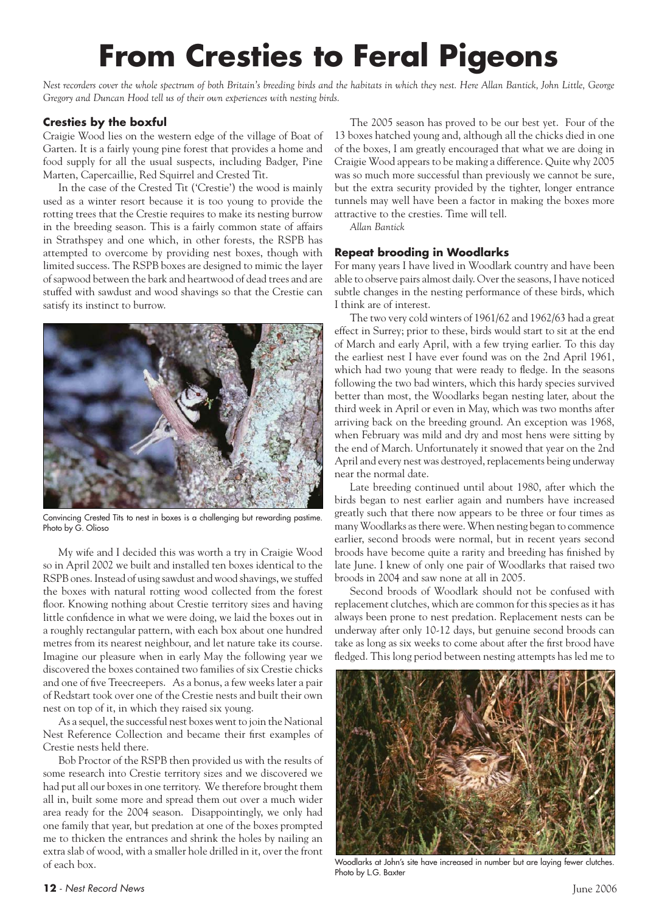## **From Cresties to Feral Pigeons**

*Nest recorders cover the whole spectrum of both Britain's breeding birds and the habitats in which they nest. Here Allan Bantick, John Little, George Gregory and Duncan Hood tell us of their own experiences with nesting birds.*

### **Cresties by the boxful**

Craigie Wood lies on the western edge of the village of Boat of Garten. It is a fairly young pine forest that provides a home and food supply for all the usual suspects, including Badger, Pine Marten, Capercaillie, Red Squirrel and Crested Tit.

In the case of the Crested Tit ('Crestie') the wood is mainly used as a winter resort because it is too young to provide the rotting trees that the Crestie requires to make its nesting burrow in the breeding season. This is a fairly common state of affairs in Strathspey and one which, in other forests, the RSPB has attempted to overcome by providing nest boxes, though with limited success. The RSPB boxes are designed to mimic the layer of sapwood between the bark and heartwood of dead trees and are stuffed with sawdust and wood shavings so that the Crestie can satisfy its instinct to burrow.



Convincing Crested Tits to nest in boxes is a challenging but rewarding pastime. Photo by G. Olioso

My wife and I decided this was worth a try in Craigie Wood so in April 2002 we built and installed ten boxes identical to the RSPB ones. Instead of using sawdust and wood shavings, we stuffed the boxes with natural rotting wood collected from the forest floor. Knowing nothing about Crestie territory sizes and having little confidence in what we were doing, we laid the boxes out in a roughly rectangular pattern, with each box about one hundred metres from its nearest neighbour, and let nature take its course. Imagine our pleasure when in early May the following year we discovered the boxes contained two families of six Crestie chicks and one of five Treecreepers. As a bonus, a few weeks later a pair of Redstart took over one of the Crestie nests and built their own nest on top of it, in which they raised six young.

As a sequel, the successful nest boxes went to join the National Nest Reference Collection and became their first examples of Crestie nests held there.

Bob Proctor of the RSPB then provided us with the results of some research into Crestie territory sizes and we discovered we had put all our boxes in one territory. We therefore brought them all in, built some more and spread them out over a much wider area ready for the 2004 season. Disappointingly, we only had one family that year, but predation at one of the boxes prompted me to thicken the entrances and shrink the holes by nailing an extra slab of wood, with a smaller hole drilled in it, over the front of each box.

The 2005 season has proved to be our best yet. Four of the 13 boxes hatched young and, although all the chicks died in one of the boxes, I am greatly encouraged that what we are doing in Craigie Wood appears to be making a difference. Quite why 2005 was so much more successful than previously we cannot be sure, but the extra security provided by the tighter, longer entrance tunnels may well have been a factor in making the boxes more attractive to the cresties. Time will tell.

*Allan Bantick*

### **Repeat brooding in Woodlarks**

For many years I have lived in Woodlark country and have been able to observe pairs almost daily. Over the seasons, I have noticed subtle changes in the nesting performance of these birds, which I think are of interest.

The two very cold winters of 1961/62 and 1962/63 had a great effect in Surrey; prior to these, birds would start to sit at the end of March and early April, with a few trying earlier. To this day the earliest nest I have ever found was on the 2nd April 1961, which had two young that were ready to fledge. In the seasons following the two bad winters, which this hardy species survived better than most, the Woodlarks began nesting later, about the third week in April or even in May, which was two months after arriving back on the breeding ground. An exception was 1968, when February was mild and dry and most hens were sitting by the end of March. Unfortunately it snowed that year on the 2nd April and every nest was destroyed, replacements being underway near the normal date.

Late breeding continued until about 1980, after which the birds began to nest earlier again and numbers have increased greatly such that there now appears to be three or four times as many Woodlarks as there were. When nesting began to commence earlier, second broods were normal, but in recent years second broods have become quite a rarity and breeding has finished by late June. I knew of only one pair of Woodlarks that raised two broods in 2004 and saw none at all in 2005.

Second broods of Woodlark should not be confused with replacement clutches, which are common for this species as it has always been prone to nest predation. Replacement nests can be underway after only 10-12 days, but genuine second broods can take as long as six weeks to come about after the first brood have fledged. This long period between nesting attempts has led me to



Woodlarks at John's site have increased in number but are laying fewer clutches. Photo by L.G. Baxter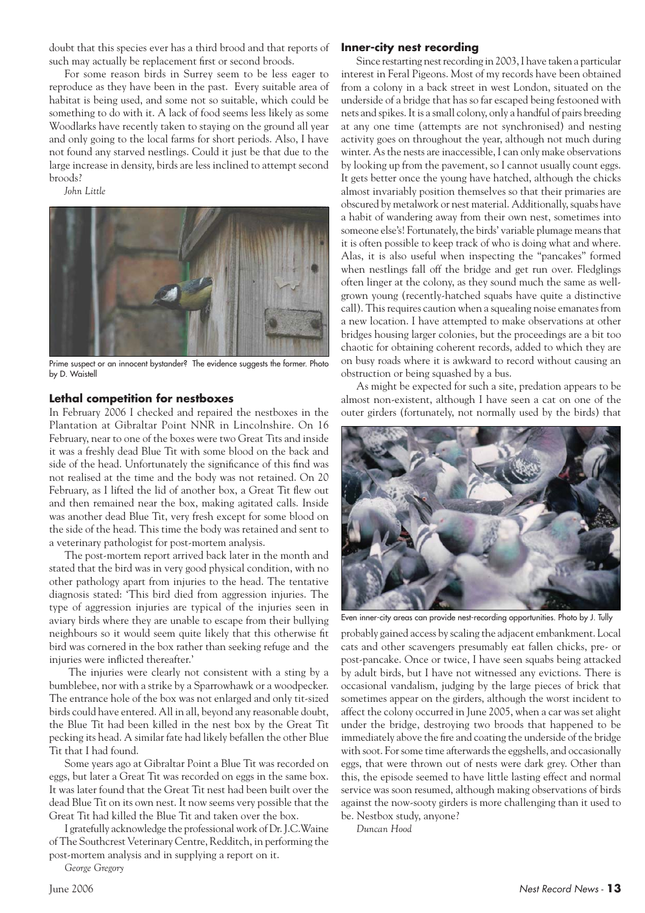doubt that this species ever has a third brood and that reports of such may actually be replacement first or second broods.

For some reason birds in Surrey seem to be less eager to reproduce as they have been in the past. Every suitable area of habitat is being used, and some not so suitable, which could be something to do with it. A lack of food seems less likely as some Woodlarks have recently taken to staying on the ground all year and only going to the local farms for short periods. Also, I have not found any starved nestlings. Could it just be that due to the large increase in density, birds are less inclined to attempt second broods?

*John Little*



Prime suspect or an innocent bystander? The evidence suggests the former. Photo by D. Waistell

### **Lethal competition for nestboxes**

In February 2006 I checked and repaired the nestboxes in the Plantation at Gibraltar Point NNR in Lincolnshire. On 16 February, near to one of the boxes were two Great Tits and inside it was a freshly dead Blue Tit with some blood on the back and side of the head. Unfortunately the significance of this find was not realised at the time and the body was not retained. On 20 February, as I lifted the lid of another box, a Great Tit flew out and then remained near the box, making agitated calls. Inside was another dead Blue Tit, very fresh except for some blood on the side of the head. This time the body was retained and sent to a veterinary pathologist for post-mortem analysis.

The post-mortem report arrived back later in the month and stated that the bird was in very good physical condition, with no other pathology apart from injuries to the head. The tentative diagnosis stated: 'This bird died from aggression injuries. The type of aggression injuries are typical of the injuries seen in aviary birds where they are unable to escape from their bullying neighbours so it would seem quite likely that this otherwise fit bird was cornered in the box rather than seeking refuge and the injuries were inflicted thereafter.'

 The injuries were clearly not consistent with a sting by a bumblebee, nor with a strike by a Sparrowhawk or a woodpecker. The entrance hole of the box was not enlarged and only tit-sized birds could have entered. All in all, beyond any reasonable doubt, the Blue Tit had been killed in the nest box by the Great Tit pecking its head. A similar fate had likely befallen the other Blue Tit that I had found.

Some years ago at Gibraltar Point a Blue Tit was recorded on eggs, but later a Great Tit was recorded on eggs in the same box. It was later found that the Great Tit nest had been built over the dead Blue Tit on its own nest. It now seems very possible that the Great Tit had killed the Blue Tit and taken over the box.

I gratefully acknowledge the professional work of Dr. J.C.Waine of The Southcrest Veterinary Centre, Redditch, in performing the post-mortem analysis and in supplying a report on it.

*George Gregory*

#### **Inner-city nest recording**

Since restarting nest recording in 2003, I have taken a particular interest in Feral Pigeons. Most of my records have been obtained from a colony in a back street in west London, situated on the underside of a bridge that has so far escaped being festooned with nets and spikes. It is a small colony, only a handful of pairs breeding at any one time (attempts are not synchronised) and nesting activity goes on throughout the year, although not much during winter. As the nests are inaccessible, I can only make observations by looking up from the pavement, so I cannot usually count eggs. It gets better once the young have hatched, although the chicks almost invariably position themselves so that their primaries are obscured by metalwork or nest material. Additionally, squabs have a habit of wandering away from their own nest, sometimes into someone else's! Fortunately, the birds' variable plumage means that it is often possible to keep track of who is doing what and where. Alas, it is also useful when inspecting the "pancakes" formed when nestlings fall off the bridge and get run over. Fledglings often linger at the colony, as they sound much the same as wellgrown young (recently-hatched squabs have quite a distinctive call). This requires caution when a squealing noise emanates from a new location. I have attempted to make observations at other bridges housing larger colonies, but the proceedings are a bit too chaotic for obtaining coherent records, added to which they are on busy roads where it is awkward to record without causing an obstruction or being squashed by a bus.

As might be expected for such a site, predation appears to be almost non-existent, although I have seen a cat on one of the outer girders (fortunately, not normally used by the birds) that



Even inner-city areas can provide nest-recording opportunities. Photo by J. Tully

probably gained access by scaling the adjacent embankment. Local cats and other scavengers presumably eat fallen chicks, pre- or post-pancake. Once or twice, I have seen squabs being attacked by adult birds, but I have not witnessed any evictions. There is occasional vandalism, judging by the large pieces of brick that sometimes appear on the girders, although the worst incident to affect the colony occurred in June 2005, when a car was set alight under the bridge, destroying two broods that happened to be immediately above the fire and coating the underside of the bridge with soot. For some time afterwards the eggshells, and occasionally eggs, that were thrown out of nests were dark grey. Other than this, the episode seemed to have little lasting effect and normal service was soon resumed, although making observations of birds against the now-sooty girders is more challenging than it used to be. Nestbox study, anyone?

*Duncan Hood*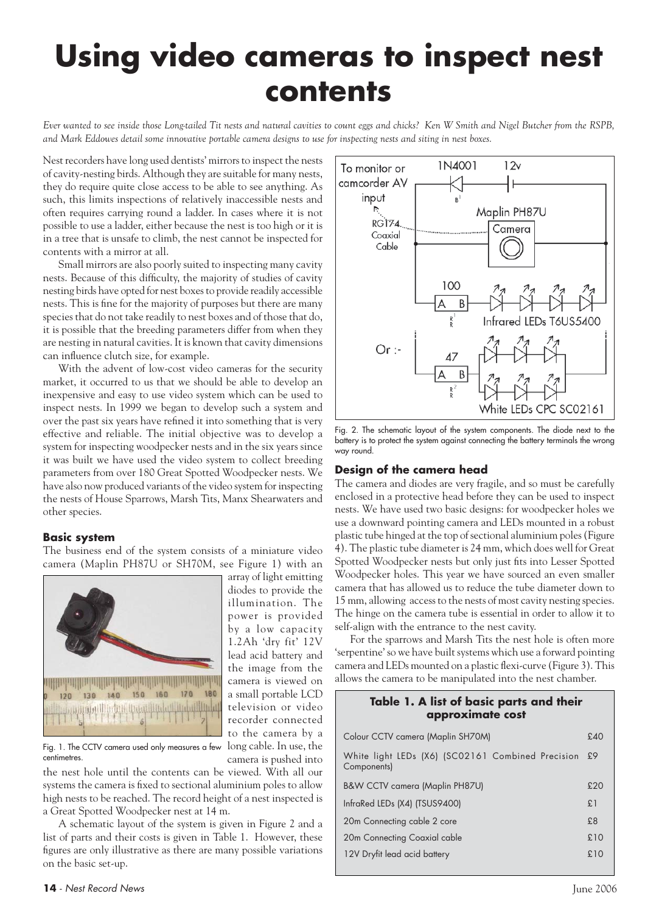## **Using video cameras to inspect nest contents**

*Ever wanted to see inside those Long-tailed Tit nests and natural cavities to count eggs and chicks? Ken W Smith and Nigel Butcher from the RSPB, and Mark Eddowes detail some innovative portable camera designs to use for inspecting nests and siting in nest boxes.*

Nest recorders have long used dentists' mirrors to inspect the nests of cavity-nesting birds. Although they are suitable for many nests, they do require quite close access to be able to see anything. As such, this limits inspections of relatively inaccessible nests and often requires carrying round a ladder. In cases where it is not possible to use a ladder, either because the nest is too high or it is in a tree that is unsafe to climb, the nest cannot be inspected for contents with a mirror at all.

Small mirrors are also poorly suited to inspecting many cavity nests. Because of this difficulty, the majority of studies of cavity nesting birds have opted for nest boxes to provide readily accessible nests. This is fine for the majority of purposes but there are many species that do not take readily to nest boxes and of those that do, it is possible that the breeding parameters differ from when they are nesting in natural cavities. It is known that cavity dimensions can influence clutch size, for example.

With the advent of low-cost video cameras for the security market, it occurred to us that we should be able to develop an inexpensive and easy to use video system which can be used to inspect nests. In 1999 we began to develop such a system and over the past six years have refined it into something that is very effective and reliable. The initial objective was to develop a system for inspecting woodpecker nests and in the six years since it was built we have used the video system to collect breeding parameters from over 180 Great Spotted Woodpecker nests. We have also now produced variants of the video system for inspecting the nests of House Sparrows, Marsh Tits, Manx Shearwaters and other species.

### **Basic system**

The business end of the system consists of a miniature video camera (Maplin PH87U or SH70M, see Figure 1) with an

> array of light emitting diodes to provide the illumination. The power is provided by a low capacity 1.2Ah 'dry fit' 12V lead acid battery and the image from the camera is viewed on a small portable LCD television or video recorder connected to the camera by a

> camera is pushed into



Fig. 1. The CCTV camera used only measures a few  $\,$  long cable. In use, the centimetres.

the nest hole until the contents can be viewed. With all our systems the camera is fixed to sectional aluminium poles to allow high nests to be reached. The record height of a nest inspected is a Great Spotted Woodpecker nest at 14 m.

A schematic layout of the system is given in Figure 2 and a list of parts and their costs is given in Table 1. However, these figures are only illustrative as there are many possible variations on the basic set-up.



Fig. 2. The schematic layout of the system components. The diode next to the battery is to protect the system against connecting the battery terminals the wrong way round.

### **Design of the camera head**

The camera and diodes are very fragile, and so must be carefully enclosed in a protective head before they can be used to inspect nests. We have used two basic designs: for woodpecker holes we use a downward pointing camera and LEDs mounted in a robust plastic tube hinged at the top of sectional aluminium poles (Figure 4). The plastic tube diameter is 24 mm, which does well for Great Spotted Woodpecker nests but only just fits into Lesser Spotted Woodpecker holes. This year we have sourced an even smaller camera that has allowed us to reduce the tube diameter down to 15 mm, allowing access to the nests of most cavity nesting species. The hinge on the camera tube is essential in order to allow it to self-align with the entrance to the nest cavity.

For the sparrows and Marsh Tits the nest hole is often more 'serpentine' so we have built systems which use a forward pointing camera and LEDs mounted on a plastic flexi-curve (Figure 3). This allows the camera to be manipulated into the nest chamber.

### **Table 1. A list of basic parts and their approximate cost**

| Colour CCTV camera (Maplin SH70M)                                |     |  |  |  |  |
|------------------------------------------------------------------|-----|--|--|--|--|
| White light LEDs (X6) (SC02161 Combined Precision<br>Components) | £9  |  |  |  |  |
| B&W CCTV camera (Maplin PH87U)                                   | £20 |  |  |  |  |
| InfraRed LEDs (X4) (TSUS9400)                                    |     |  |  |  |  |
| 20m Connecting cable 2 core                                      | £8  |  |  |  |  |
| 20m Connecting Coaxial cable                                     | £10 |  |  |  |  |
| 12V Dryfit lead acid battery                                     | £10 |  |  |  |  |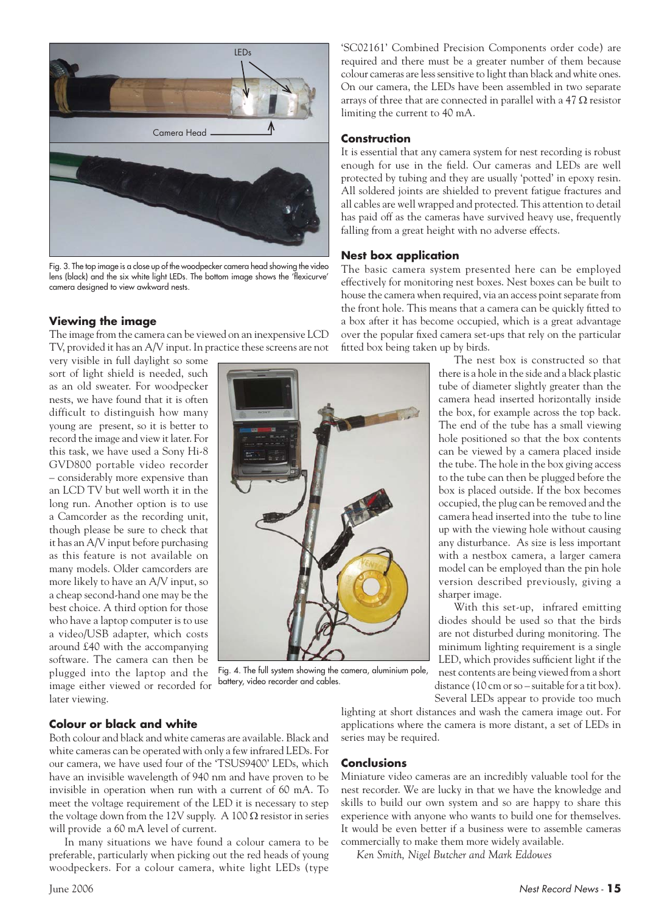

Fig. 3. The top image is a close up of the woodpecker camera head showing the video lens (black) and the six white light LEDs. The bottom image shows the 'flexicurve' camera designed to view awkward nests.

### **Viewing the image**

The image from the camera can be viewed on an inexpensive LCD TV, provided it has an A/V input. In practice these screens are not

very visible in full daylight so some sort of light shield is needed, such as an old sweater. For woodpecker nests, we have found that it is often difficult to distinguish how many young are present, so it is better to record the image and view it later. For this task, we have used a Sony Hi-8 GVD800 portable video recorder – considerably more expensive than an LCD TV but well worth it in the long run. Another option is to use a Camcorder as the recording unit, though please be sure to check that it has an A/V input before purchasing as this feature is not available on many models. Older camcorders are more likely to have an A/V input, so a cheap second-hand one may be the best choice. A third option for those who have a laptop computer is to use a video/USB adapter, which costs around £40 with the accompanying software. The camera can then be plugged into the laptop and the image either viewed or recorded for later viewing.

'SC02161' Combined Precision Components order code) are required and there must be a greater number of them because colour cameras are less sensitive to light than black and white ones. On our camera, the LEDs have been assembled in two separate arrays of three that are connected in parallel with a  $47 \Omega$  resistor limiting the current to 40 mA.

### **Construction**

It is essential that any camera system for nest recording is robust enough for use in the field. Our cameras and LEDs are well protected by tubing and they are usually 'potted' in epoxy resin. All soldered joints are shielded to prevent fatigue fractures and all cables are well wrapped and protected. This attention to detail has paid off as the cameras have survived heavy use, frequently falling from a great height with no adverse effects.

### **Nest box application**

The basic camera system presented here can be employed effectively for monitoring nest boxes. Nest boxes can be built to house the camera when required, via an access point separate from the front hole. This means that a camera can be quickly fitted to a box after it has become occupied, which is a great advantage over the popular fixed camera set-ups that rely on the particular fitted box being taken up by birds.

> The nest box is constructed so that there is a hole in the side and a black plastic tube of diameter slightly greater than the camera head inserted horizontally inside the box, for example across the top back. The end of the tube has a small viewing hole positioned so that the box contents can be viewed by a camera placed inside the tube. The hole in the box giving access to the tube can then be plugged before the box is placed outside. If the box becomes occupied, the plug can be removed and the camera head inserted into the tube to line up with the viewing hole without causing any disturbance. As size is less important with a nestbox camera, a larger camera model can be employed than the pin hole version described previously, giving a sharper image.

With this set-up, infrared emitting diodes should be used so that the birds are not disturbed during monitoring. The minimum lighting requirement is a single LED, which provides sufficient light if the nest contents are being viewed from a short distance (10 cm or so – suitable for a tit box). Several LEDs appear to provide too much

Fig. 4. The full system showing the camera, aluminium pole, battery, video recorder and cables.

### **Colour or black and white**

Both colour and black and white cameras are available. Black and white cameras can be operated with only a few infrared LEDs. For our camera, we have used four of the 'TSUS9400' LEDs, which have an invisible wavelength of 940 nm and have proven to be invisible in operation when run with a current of 60 mA. To meet the voltage requirement of the LED it is necessary to step the voltage down from the 12V supply. A 100  $\Omega$  resistor in series will provide a 60 mA level of current.

In many situations we have found a colour camera to be preferable, particularly when picking out the red heads of young woodpeckers. For a colour camera, white light LEDs (type

lighting at short distances and wash the camera image out. For applications where the camera is more distant, a set of LEDs in series may be required.

### **Conclusions**

Miniature video cameras are an incredibly valuable tool for the nest recorder. We are lucky in that we have the knowledge and skills to build our own system and so are happy to share this experience with anyone who wants to build one for themselves. It would be even better if a business were to assemble cameras commercially to make them more widely available.

*Ken Smith, Nigel Butcher and Mark Eddowes*